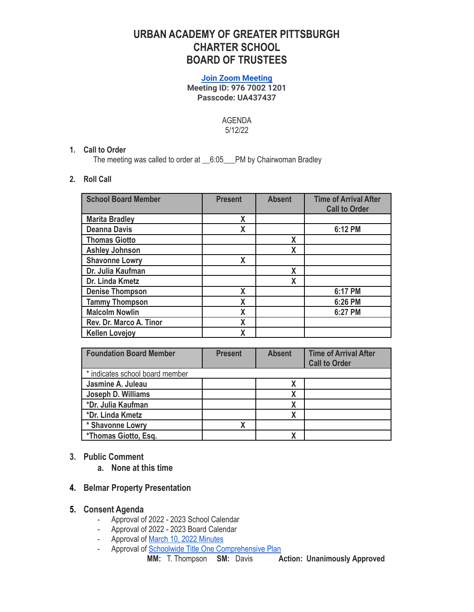# **URBAN ACADEMY OF GREATER PITTSBURGH CHARTER SCHOOL BOARD OF TRUSTEES**

#### **[Join Zoom Meeting](https://us06web.zoom.us/j/97670021201?pwd=c0FQMzUwb2tlODA4WGlEMURyWHpYUT09) Meeting ID: 976 7002 1201 Passcode: UA437437**

#### AGENDA 5/12/22

## **1. Call to Order**

The meeting was called to order at \_\_6:05\_\_\_PM by Chairwoman Bradley

## **2. Roll Call**

| <b>School Board Member</b> | <b>Present</b> | <b>Absent</b> | <b>Time of Arrival After</b><br><b>Call to Order</b> |
|----------------------------|----------------|---------------|------------------------------------------------------|
| <b>Marita Bradley</b>      | X              |               |                                                      |
| <b>Deanna Davis</b>        | X              |               | 6:12 PM                                              |
| <b>Thomas Giotto</b>       |                | X             |                                                      |
| <b>Ashley Johnson</b>      |                | χ             |                                                      |
| <b>Shavonne Lowry</b>      | X              |               |                                                      |
| Dr. Julia Kaufman          |                | X             |                                                      |
| Dr. Linda Kmetz            |                | χ             |                                                      |
| <b>Denise Thompson</b>     | X              |               | 6:17 PM                                              |
| <b>Tammy Thompson</b>      | X              |               | 6:26 PM                                              |
| <b>Malcolm Nowlin</b>      | X              |               | 6:27 PM                                              |
| Rev. Dr. Marco A. Tinor    | X              |               |                                                      |
| <b>Kellen Lovejoy</b>      | X              |               |                                                      |

| <b>Foundation Board Member</b>  | <b>Present</b> | <b>Absent</b> | <b>Time of Arrival After</b><br><b>Call to Order</b> |
|---------------------------------|----------------|---------------|------------------------------------------------------|
| * indicates school board member |                |               |                                                      |
| Jasmine A. Juleau               |                |               |                                                      |
| Joseph D. Williams              |                |               |                                                      |
| *Dr. Julia Kaufman              |                |               |                                                      |
| *Dr. Linda Kmetz                |                |               |                                                      |
| * Shavonne Lowry                |                |               |                                                      |
| *Thomas Giotto, Esq.            |                |               |                                                      |

## **3. Public Comment**

**a. None at this time**

## **4. Belmar Property Presentation**

## **5. Consent Agenda**

- Approval of 2022 2023 School Calendar
- Approval of 2022 2023 Board Calendar
- Approval of March 10, 2022 [Minutes](https://docs.google.com/document/d/1L1alLZUcgiwAQ52ptnDShkqqwxu7dpnw/edit?usp=sharing&ouid=104791931643060001813&rtpof=true&sd=true)
- Approval of Schoolwide Title One [Comprehensive](https://www.urbanacademypgh.org/wp-content/uploads/2022/03/UA_Schoolwide-Title-1-Comprehensive-Plan-_-2021-2024.pdf) Plan

**MM:** T. Thompson **SM:** Davis **Action: Unanimously Approved**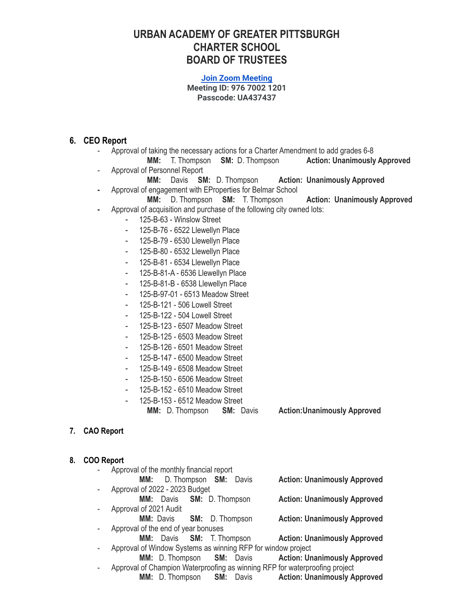## **URBAN ACADEMY OF GREATER PITTSBURGH CHARTER SCHOOL BOARD OF TRUSTEES**

#### **[Join Zoom Meeting](https://us06web.zoom.us/j/97670021201?pwd=c0FQMzUwb2tlODA4WGlEMURyWHpYUT09) Meeting ID: 976 7002 1201 Passcode: UA437437**

#### **6. CEO Report**

- Approval of taking the necessary actions for a Charter Amendment to add grades 6-8
- **MM:** T. Thompson **SM:** D. Thompson **Action: Unanimously Approved** - Approval of Personnel Report
	- **MM:** Davis **SM:** D. Thompson **Action: Unanimously Approved**
- **-** Approval of engagement with EProperties for Belmar School
- **MM:** D. Thompson **SM:** T. Thompson **Action: Unanimously Approved -** Approval of acquisition and purchase of the following city owned lots:
	- 125-B-63 Winslow Street
		- 125-B-76 6522 Llewellyn Place
		- 125-B-79 6530 Llewellyn Place
		- 125-B-80 6532 Llewellyn Place
		- 125-B-81 6534 Llewellyn Place
		- 125-B-81-A 6536 Llewellyn Place
		- 125-B-81-B 6538 Llewellyn Place
		- 125-B-97-01 6513 Meadow Street
		- 125-B-121 506 Lowell Street
		- 125-B-122 504 Lowell Street
		- 125-B-123 6507 Meadow Street
		- 125-B-125 6503 Meadow Street
		- 125-B-126 6501 Meadow Street
		- 125-B-147 6500 Meadow Street
		- 125-B-149 6508 Meadow Street
		- 125-B-150 6506 Meadow Street
		- 125-B-152 6510 Meadow Street
		- 125-B-153 6512 Meadow Street
			- **MM:** D. Thompson **SM:** Davis **Action:Unanimously Approved**

## **7. CAO Report**

#### **8. COO Report**

- Approval of the monthly financial report **MM:** D. Thompson **SM:** Davis **Action: Unanimously Approved** - Approval of 2022 - 2023 Budget **MM:** Davis **SM:** D. Thompson **Action: Unanimously Approved** Approval of 2021 Audit **MM:** Davis **SM:** D. Thompson **Action: Unanimously Approved** Approval of the end of year bonuses **MM:** Davis **SM:** T. Thompson **Action: Unanimously Approved** - Approval of Window Systems as winning RFP for window project **MM:** D. Thompson **SM:** Davis **Action: Unanimously Approved**
- Approval of Champion Waterproofing as winning RFP for waterproofing project **MM:** D. Thompson **SM:** Davis **Action: Unanimously Approved**